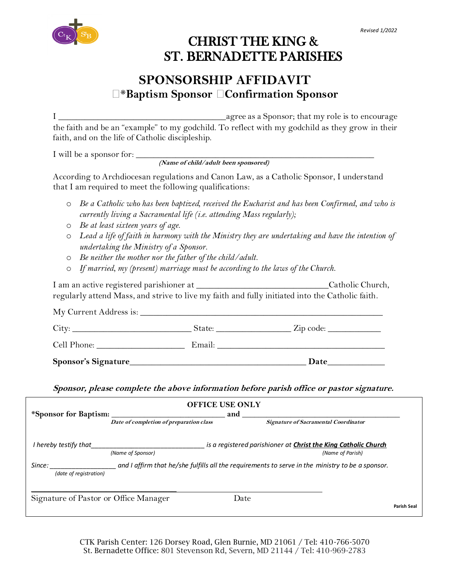

## CHRIST THE KING & ST. BERNADETTE PARISHES

### **SPONSORSHIP AFFIDAVIT** \***Baptism Sponsor Confirmation Sponsor**

I **\_\_\_\_\_\_\_\_\_\_\_\_\_\_\_\_\_\_\_\_\_\_\_\_\_\_\_\_\_\_\_\_\_\_\_\_\_\_**agree as a Sponsor; that my role is to encourage the faith and be an "example" to my godchild. To reflect with my godchild as they grow in their faith, and on the life of Catholic discipleship.

I will be a sponsor for: \_\_\_\_\_\_\_\_\_\_\_\_\_\_\_\_\_\_\_\_\_\_\_\_\_\_\_\_\_\_\_\_\_\_\_\_\_\_\_\_\_\_\_\_\_\_\_\_\_\_\_\_\_\_

**(Name of child/adult been sponsored)** 

According to Archdiocesan regulations and Canon Law, as a Catholic Sponsor, I understand that I am required to meet the following qualifications:

- o *Be a Catholic who has been baptized, received the Eucharist and has been Confirmed, and who is currently living a Sacramental life (i.e. attending Mass regularly);*
- o *Be at least sixteen years of age.*
- o *Lead a life of faith in harmony with the Ministry they are undertaking and have the intention of undertaking the Ministry of a Sponsor.*
- o *Be neither the mother nor the father of the child/adult.*
- o *If married, my (present) marriage must be according to the laws of the Church.*

I am an active registered parishioner at \_\_\_\_\_\_\_\_\_\_\_\_\_\_\_\_\_\_\_\_\_\_\_\_\_\_\_\_\_\_Catholic Church, regularly attend Mass, and strive to live my faith and fully initiated into the Catholic faith.

My Current Address is: \_\_\_\_\_\_\_\_\_\_\_\_\_\_\_\_\_\_\_\_\_\_\_\_\_\_\_\_\_\_\_\_\_\_\_\_\_\_\_\_\_\_\_\_\_\_\_\_\_\_\_\_\_\_\_ City: \_\_\_\_\_\_\_\_\_\_\_\_\_\_\_\_\_\_\_\_\_\_\_\_\_\_\_ State: \_\_\_\_\_\_\_\_\_\_\_\_\_\_\_\_\_ Zip code: \_\_\_\_\_\_\_\_\_\_\_\_

| $\sim$<br>$\lceil \cdot \rceil$<br>топе. |  |
|------------------------------------------|--|
|                                          |  |

**Sponsor's Signature\_\_\_\_\_\_\_\_\_\_\_\_\_\_\_\_\_\_\_\_\_\_\_\_\_\_\_\_\_\_\_\_\_\_\_\_\_\_\_\_ Date\_\_\_\_\_\_\_\_\_\_\_\_\_**

**Sponsor, please complete the above information before parish office or pastor signature.**

| *Sponsor for Baptism:                 | <b>OFFICE USE ONLY</b>                  |                                                                                                  |                                      |             |
|---------------------------------------|-----------------------------------------|--------------------------------------------------------------------------------------------------|--------------------------------------|-------------|
|                                       | Date of completion of preparation class |                                                                                                  | Signature of Sacramental Coordinator |             |
| I hereby testify that                 | (Name of Sponsor)                       | is a registered parishioner at <b>Christ the King Catholic Church</b>                            | (Name of Parish)                     |             |
| Since:<br>(date of registration)      |                                         | and I affirm that he/she fulfills all the requirements to serve in the ministry to be a sponsor. |                                      |             |
| Signature of Pastor or Office Manager |                                         | Date                                                                                             |                                      | Parish Seal |

CTK Parish Center: 126 Dorsey Road, Glen Burnie, MD 21061 / Tel: 410-766-5070 St. Bernadette Office: 801 Stevenson Rd, Severn, MD 21144 / Tel: 410-969-2783